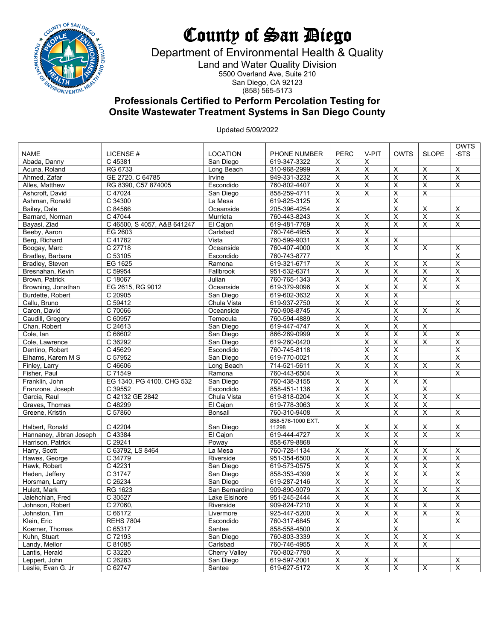

## County of San Diego

Department of Environmental Health & Quality

Land and Water Quality Division 5500 Overland Ave, Suite 210 San Diego, CA 92123

(858) 565-5173

## **Professionals Certified to Perform Percolation Testing for Onsite Wastewater Treatment Systems in San Diego County**

Updated 5/09/2022

|                         |                             |                      |                            |                         |                              |                           |                         | <b>OWTS</b>             |
|-------------------------|-----------------------------|----------------------|----------------------------|-------------------------|------------------------------|---------------------------|-------------------------|-------------------------|
| <b>NAME</b>             | LICENSE#                    | <b>LOCATION</b>      | PHONE NUMBER               | <b>PERC</b>             | V-PIT                        | <b>OWTS</b>               | <b>SLOPE</b>            | -STS                    |
| Abada, Danny            | C 45381                     | San Diego            | 619-347-3322               | X                       | Х                            |                           |                         |                         |
| Acuna, Roland           | RG 6733                     | Long Beach           | 310-968-2999               | $\overline{\mathsf{x}}$ | $\overline{\mathsf{x}}$      | $\overline{\mathsf{x}}$   | X                       | $\overline{\mathsf{x}}$ |
| Ahmed, Zafar            | GE 2720, C 64785            | Irvine               | 949-331-3232               | $\overline{X}$          | $\overline{\mathsf{x}}$      | Χ                         | $\overline{\mathsf{x}}$ | $\overline{X}$          |
| Alles, Matthew          | RG 8390, C57 874005         | Escondido            | 760-802-4407               | $\overline{\mathsf{X}}$ | $\overline{\mathsf{x}}$      | X                         | $\overline{\mathsf{x}}$ | $\times$                |
| Ashcroft, David         | C 47024                     | San Diego            | 858-259-4711               | $\overline{\mathsf{x}}$ | $\overline{\mathsf{x}}$      | X                         | $\overline{X}$          |                         |
| Ashman, Ronald          | C 34300                     | La Mesa              | 619-825-3125               | $\overline{X}$          |                              | X                         |                         |                         |
| Bailey, Dale            | C 84566                     | Oceanside            | 205-396-4254               | $\overline{\mathsf{X}}$ |                              | $\overline{\mathsf{x}}$   | $\overline{\mathsf{x}}$ | X                       |
| Barnard, Norman         | C 47044                     | Murrieta             | 760-443-8243               | $\overline{\mathsf{x}}$ | $\overline{\mathsf{x}}$      | X                         | $\overline{\mathsf{x}}$ | $\overline{\mathsf{x}}$ |
| Bayasi, Ziad            | C 46500, S 4057, A&B 641247 | El Cajon             | 619-481-7769               | X                       | $\overline{\mathsf{x}}$      | X                         | X                       | X                       |
| Beeby, Aaron            | EG 2603                     | Carlsbad             | 760-746-4955               | $\overline{\mathsf{x}}$ | $\overline{\mathsf{x}}$      |                           |                         |                         |
| Berg, Richard           | C 41782                     | Vista                | 760-599-9031               | $\overline{\mathsf{X}}$ | $\overline{\mathsf{x}}$      | X                         |                         |                         |
| Boogay, Marc            | C 27718                     | Oceanside            | 760-407-4000               | $\overline{\mathsf{x}}$ | X                            | X                         | X                       | X                       |
| Bradley, Barbara        | C 53105                     | Escondido            | 760-743-8777               |                         |                              |                           |                         | X                       |
| Bradley, Steven         | EG 1625                     | Ramona               | 619-321-6717               | X                       | X                            | X                         | X                       | X                       |
| Bresnahan, Kevin        | C 59954                     | Fallbrook            | 951-532-6371               | X                       | X                            | X                         | $\overline{\mathsf{x}}$ | X                       |
| Brown, Patrick          | C 18067                     | Julian               | 760-765-1343               | $\overline{\mathsf{X}}$ |                              | Χ                         | $\overline{X}$          | $\overline{\mathsf{X}}$ |
| Browning, Jonathan      | EG 2615, RG 9012            | Oceanside            | 619-379-9096               | X                       | $\overline{\mathsf{x}}$      | X                         | $\overline{\mathsf{x}}$ | X                       |
| Burdette, Robert        | C 20905                     | San Diego            | 619-602-3632               | X                       | $\overline{\mathsf{x}}$      | X                         |                         |                         |
| Callu, Bruno            | C 59412                     | Chula Vista          | 619-937-2750               | $\overline{\mathsf{x}}$ | $\overline{\mathsf{x}}$      | $\overline{\mathsf{x}}$   |                         | X                       |
| Caron, David            | C 70066                     | Oceanside            | 760-908-8745               | $\overline{\mathsf{x}}$ |                              | $\overline{\mathsf{x}}$   | X                       | $\overline{\mathsf{x}}$ |
| Caudill, Gregory        | C 60957                     | Temecula             | 760-594-4889               | $\overline{\mathsf{x}}$ |                              | X                         |                         |                         |
|                         |                             |                      |                            | $\overline{X}$          |                              |                           | $\overline{\mathsf{x}}$ |                         |
| Chan, Robert            | C 24613<br>C 66602          | San Diego            | 619-447-4747               | $\overline{\mathsf{x}}$ | X<br>$\overline{\mathsf{x}}$ | X                         | $\overline{\mathsf{x}}$ |                         |
| Cole, Ian               |                             | San Diego            | 866-269-0999               |                         |                              | X                         |                         | X                       |
| Cole, Lawrence          | C 36292                     | San Diego            | 619-260-0420               |                         | $\overline{\mathsf{x}}$      | X                         | $\overline{\mathsf{x}}$ | X                       |
| Dentino, Robert         | C 45629                     | Escondido            | 760-745-8118               |                         | $\overline{\mathsf{x}}$      | X                         |                         | $\overline{\mathsf{x}}$ |
| Elhams, Karem M S       | C 57952                     | San Diego            | 619-770-0021               |                         | $\overline{\mathsf{x}}$      | X                         |                         | X                       |
| Finley, Larry           | C 46606                     | Long Beach           | 714-521-5611               | X                       | X                            | X                         | X                       | X                       |
| Fisher, Paul            | C 71549                     | Ramona               | 760-443-6504               | $\overline{\mathsf{x}}$ |                              | X                         |                         | $\overline{\mathsf{x}}$ |
| Franklin, John          | EG 1340, PG 4100, CHG 532   | San Diego            | 760-438-3155               | $\overline{X}$          | $\overline{\mathsf{x}}$      | X                         | $\overline{\mathsf{x}}$ |                         |
| Franzone, Joseph        | C 39552                     | Escondido            | 858-451-1136               | $\overline{\mathsf{x}}$ | $\overline{\mathsf{x}}$      |                           | $\overline{\mathsf{x}}$ |                         |
| Garcia, Raul            | C 42132 GE 2842             | Chula Vista          | 619-818-0204               | $\overline{\mathsf{x}}$ | $\overline{\mathsf{x}}$      | X                         | $\overline{\mathsf{x}}$ | $\overline{\mathsf{x}}$ |
| Graves, Thomas          | C 48299                     | El Cajon             | 619-778-3063               | $\overline{\mathsf{x}}$ | $\overline{\mathsf{x}}$      | $\overline{\mathsf{x}}$   | $\overline{X}$          |                         |
| Greene, Kristin         | C 57860                     | Bonsall              | 760-310-9408               | $\overline{\mathsf{x}}$ |                              | X                         | $\overline{X}$          | X                       |
| Halbert, Ronald         | C 42204                     | San Diego            | 858-576-1000 EXT.<br>11298 | ${\sf X}$               | $\overline{\mathsf{X}}$      | X                         | $\overline{\mathsf{X}}$ | $\overline{\mathsf{X}}$ |
| Hannaney, Jibran Joseph | C 43384                     | El Cajon             | 619-444-4727               | $\overline{X}$          | $\overline{X}$               | X                         | $\overline{X}$          | $\overline{\mathsf{x}}$ |
| Harrison, Patrick       | C 29241                     | Poway                | 858-679-8868               |                         |                              | X                         |                         |                         |
| Harry, Scott            | C 63792, LS 8464            | La Mesa              | 760-728-1134               | $\overline{\mathsf{x}}$ | $\overline{\mathsf{x}}$      | X                         | $\overline{\mathsf{x}}$ | $\overline{\mathsf{x}}$ |
| Hawes, George           | C 34779                     | Riverside            | 951-354-6500               | X                       | $\overline{\mathsf{x}}$      | Χ                         | $\overline{X}$          | X                       |
| Hawk, Robert            | C 42231                     | San Diego            | 619-573-0575               | X                       | $\overline{\mathsf{x}}$      | Χ                         | $\overline{\mathsf{X}}$ | $\overline{X}$          |
| Heden, Jeffery          | C 31747                     | San Diego            | 858-353-4399               | $\overline{\mathsf{x}}$ | $\overline{\mathsf{x}}$      | X                         | $\overline{\mathsf{x}}$ | X                       |
| Horsman, Larry          | C 26234                     | San Diego            | 619-287-2146               | X                       | X                            | X                         |                         | X                       |
| Hulett, Mark            | RG 1623                     | San Bernardino       | 909-890-9079               | $\overline{\mathsf{x}}$ | $\overline{\mathsf{x}}$      | $\overline{\mathsf{x}}$   | $\overline{\mathsf{x}}$ | $\overline{\mathsf{x}}$ |
| Jalehchian, Fred        | C 30527                     | Lake Elsinore        | 951-245-2444               | X                       | $\overline{\mathsf{x}}$      | Χ                         |                         | X                       |
| Johnson, Robert         | C 27060,                    | Riverside            | 909-824-7210               | $\overline{X}$          | $\overline{\mathsf{X}}$      | $\overline{\mathsf{X}}$   | $\overline{\mathsf{x}}$ | $\overline{\mathsf{x}}$ |
| Johnston, Tim           | $\overline{C}$ 66172        | Livermore            | 925-447-5200               | $\overline{\mathsf{x}}$ | $\boldsymbol{\mathsf{X}}$    | $\boldsymbol{\mathsf{X}}$ | $\overline{\mathsf{x}}$ | $\overline{\mathsf{x}}$ |
| Klein, Eric             | <b>REHS 7804</b>            | Escondido            | 760-317-6845               | X                       |                              | X                         |                         | X                       |
| Koerner, Thomas         | C 65317                     | Santee               | 858-558-4500               | $\overline{\mathsf{X}}$ |                              | $\overline{\mathsf{x}}$   |                         |                         |
| Kuhn, Stuart            | C 72193                     | San Diego            | 760-803-3339               | $\overline{X}$          | X                            | X                         | X                       | $\times$                |
| Landy, Mellor           | C 81085                     | Carlsbad             | 760-746-4955               | X                       | X                            | Χ                         | $\overline{\mathsf{x}}$ |                         |
| Lantis, Herald          | C 33220                     | <b>Cherry Valley</b> | 760-802-7790               | $\overline{\mathsf{x}}$ |                              |                           |                         |                         |
| Leppert, John           | C 26283                     | San Diego            | 619-597-2001               | $\overline{\mathsf{x}}$ |                              |                           |                         | Χ                       |
| Leslie, Evan G. Jr      |                             |                      |                            | $\overline{\mathsf{x}}$ | X<br>X                       | X<br>X                    | $\overline{\mathsf{x}}$ | X                       |
|                         | C 62747                     | Santee               | 619-627-5172               |                         |                              |                           |                         |                         |